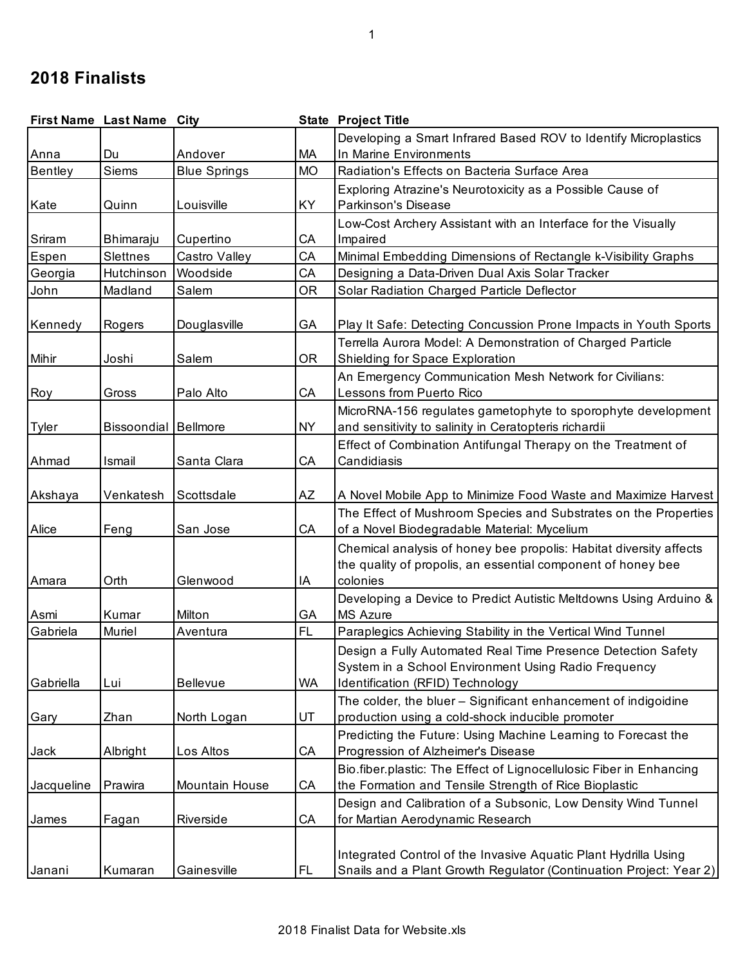## **2018 Finalists**

|              | First Name Last Name City   |                     |           | <b>State Project Title</b>                                          |
|--------------|-----------------------------|---------------------|-----------|---------------------------------------------------------------------|
|              |                             |                     |           | Developing a Smart Infrared Based ROV to Identify Microplastics     |
| Anna         | Du                          | Andover             | МA        | In Marine Environments                                              |
| Bentley      | Siems                       | <b>Blue Springs</b> | <b>MO</b> | Radiation's Effects on Bacteria Surface Area                        |
|              |                             |                     |           | Exploring Atrazine's Neurotoxicity as a Possible Cause of           |
| Kate         | Quinn                       | Louisville          | KY.       | <b>Parkinson's Disease</b>                                          |
|              |                             |                     |           | Low-Cost Archery Assistant with an Interface for the Visually       |
| Sriram       | Bhimaraju                   | Cupertino           | CA        | Impaired                                                            |
| Espen        | Slettnes                    | Castro Valley       | CA        | Minimal Embedding Dimensions of Rectangle k-Visibility Graphs       |
| Georgia      | Hutchinson                  | Woodside            | CA        | Designing a Data-Driven Dual Axis Solar Tracker                     |
| John         | Madland                     | Salem               | <b>OR</b> | Solar Radiation Charged Particle Deflector                          |
|              |                             |                     |           |                                                                     |
| Kennedy      | Rogers                      | Douglasville        | GA        | Play It Safe: Detecting Concussion Prone Impacts in Youth Sports    |
|              |                             |                     |           | Terrella Aurora Model: A Demonstration of Charged Particle          |
| Mihir        | Joshi                       | Salem               | <b>OR</b> | Shielding for Space Exploration                                     |
|              |                             |                     |           | An Emergency Communication Mesh Network for Civilians:              |
| Roy          | Gross                       | Palo Alto           | CA        | Lessons from Puerto Rico                                            |
|              |                             |                     |           | MicroRNA-156 regulates gametophyte to sporophyte development        |
| <b>Tyler</b> | <b>Bissoondial Bellmore</b> |                     | <b>NY</b> | and sensitivity to salinity in Ceratopteris richardii               |
|              |                             |                     |           | Effect of Combination Antifungal Therapy on the Treatment of        |
| Ahmad        | Ismail                      | Santa Clara         | CA        | Candidiasis                                                         |
|              |                             |                     |           |                                                                     |
| Akshaya      | Venkatesh                   | Scottsdale          | AZ        | A Novel Mobile App to Minimize Food Waste and Maximize Harvest      |
|              |                             |                     |           | The Effect of Mushroom Species and Substrates on the Properties     |
| Alice        | Feng                        | San Jose            | СA        | of a Novel Biodegradable Material: Mycelium                         |
|              |                             |                     |           | Chemical analysis of honey bee propolis: Habitat diversity affects  |
|              |                             |                     |           | the quality of propolis, an essential component of honey bee        |
| Amara        | Orth                        | Glenwood            | ΙA        | colonies                                                            |
|              |                             |                     |           | Developing a Device to Predict Autistic Meltdowns Using Arduino &   |
| Asmi         | Kumar                       | Milton              | GA        | <b>MS Azure</b>                                                     |
| Gabriela     | Muriel                      | Aventura            | <b>FL</b> | Paraplegics Achieving Stability in the Vertical Wind Tunnel         |
|              |                             |                     |           | Design a Fully Automated Real Time Presence Detection Safety        |
|              |                             |                     |           | System in a School Environment Using Radio Frequency                |
| Gabriella    | Lui                         | <b>Bellevue</b>     | <b>WA</b> | Identification (RFID) Technology                                    |
|              |                             |                     |           | The colder, the bluer - Significant enhancement of indigoidine      |
| Gary         | Zhan                        | North Logan         | UT        | production using a cold-shock inducible promoter                    |
|              |                             |                     |           | Predicting the Future: Using Machine Learning to Forecast the       |
| Jack         | Albright                    | Los Altos           | CA        | Progression of Alzheimer's Disease                                  |
|              |                             |                     |           | Bio.fiber.plastic: The Effect of Lignocellulosic Fiber in Enhancing |
| Jacqueline   | Prawira                     | Mountain House      | CA        | the Formation and Tensile Strength of Rice Bioplastic               |
|              |                             |                     |           | Design and Calibration of a Subsonic, Low Density Wind Tunnel       |
| James        | Fagan                       | Riverside           | СA        | for Martian Aerodynamic Research                                    |
|              |                             |                     |           |                                                                     |
|              |                             |                     |           | Integrated Control of the Invasive Aquatic Plant Hydrilla Using     |
| Janani       | Kumaran                     | Gainesville         | <b>FL</b> | Snails and a Plant Growth Regulator (Continuation Project: Year 2)  |